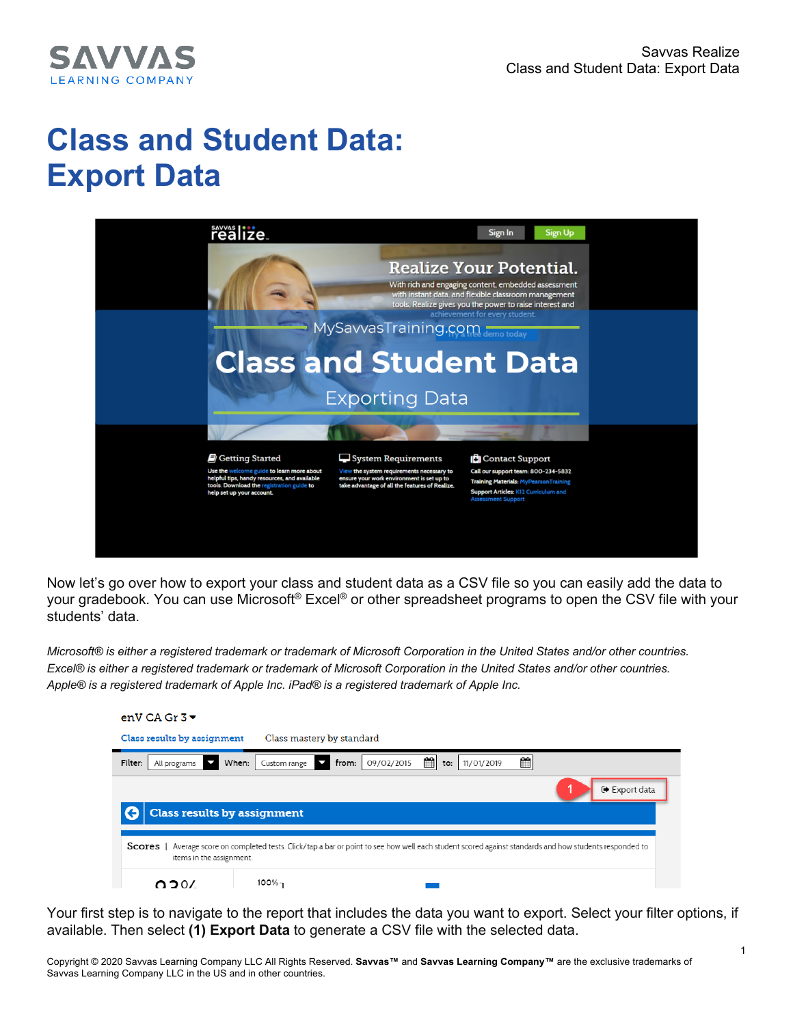

## **Class and Student Data: Export Data**



Now let's go over how to export your class and student data as a CSV file so you can easily add the data to your gradebook. You can use Microsoft® Excel® or other spreadsheet programs to open the CSV file with your students' data.

*Microsoft® is either a registered trademark or trademark of Microsoft Corporation in the United States and/or other countries. Excel® is either a registered trademark or trademark of Microsoft Corporation in the United States and/or other countries. Apple® is a registered trademark of Apple Inc. iPad® is a registered trademark of Apple Inc.*

| enV CA Gr $3\blacktriangleright$                                                                                                                                                       |  |  |
|----------------------------------------------------------------------------------------------------------------------------------------------------------------------------------------|--|--|
| Class results by assignment<br>Class mastery by standard                                                                                                                               |  |  |
| 雦<br>≝<br>Filter:<br>When:<br>09/02/2015<br>11/01/2019<br>from:<br>to:<br>All programs<br>Custom range                                                                                 |  |  |
| □ Export data<br><b>Class results by assignment</b>                                                                                                                                    |  |  |
| Average score on completed tests. Click/tap a bar or point to see how well each student scored against standards and how students responded to<br>Scores  <br>items in the assignment. |  |  |
| 100%⊣<br>050Z                                                                                                                                                                          |  |  |

Your first step is to navigate to the report that includes the data you want to export. Select your filter options, if available. Then select **(1) Export Data** to generate a CSV file with the selected data.